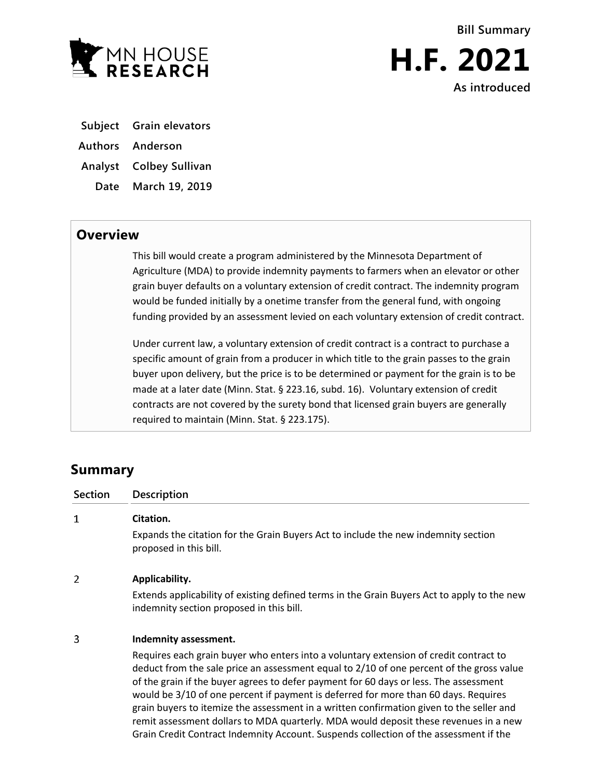

- **Subject Grain elevators**
- **Authors Anderson**
- **Analyst Colbey Sullivan**
- **Date March 19, 2019**

## **Overview**

This bill would create a program administered by the Minnesota Department of Agriculture (MDA) to provide indemnity payments to farmers when an elevator or other grain buyer defaults on a voluntary extension of credit contract. The indemnity program would be funded initially by a onetime transfer from the general fund, with ongoing funding provided by an assessment levied on each voluntary extension of credit contract.

Under current law, a voluntary extension of credit contract is a contract to purchase a specific amount of grain from a producer in which title to the grain passes to the grain buyer upon delivery, but the price is to be determined or payment for the grain is to be made at a later date (Minn. Stat. § 223.16, subd. 16). Voluntary extension of credit contracts are not covered by the surety bond that licensed grain buyers are generally required to maintain (Minn. Stat. § 223.175).

# **Summary**

| Section | <b>Description</b>                                                                                                                      |
|---------|-----------------------------------------------------------------------------------------------------------------------------------------|
| 1       | Citation.                                                                                                                               |
|         | Expands the citation for the Grain Buyers Act to include the new indemnity section<br>proposed in this bill.                            |
| 2       | Applicability.                                                                                                                          |
|         | Extends applicability of existing defined terms in the Grain Buyers Act to apply to the new<br>indemnity section proposed in this bill. |

#### 3 **Indemnity assessment.**

Requires each grain buyer who enters into a voluntary extension of credit contract to deduct from the sale price an assessment equal to 2/10 of one percent of the gross value of the grain if the buyer agrees to defer payment for 60 days or less. The assessment would be 3/10 of one percent if payment is deferred for more than 60 days. Requires grain buyers to itemize the assessment in a written confirmation given to the seller and remit assessment dollars to MDA quarterly. MDA would deposit these revenues in a new Grain Credit Contract Indemnity Account. Suspends collection of the assessment if the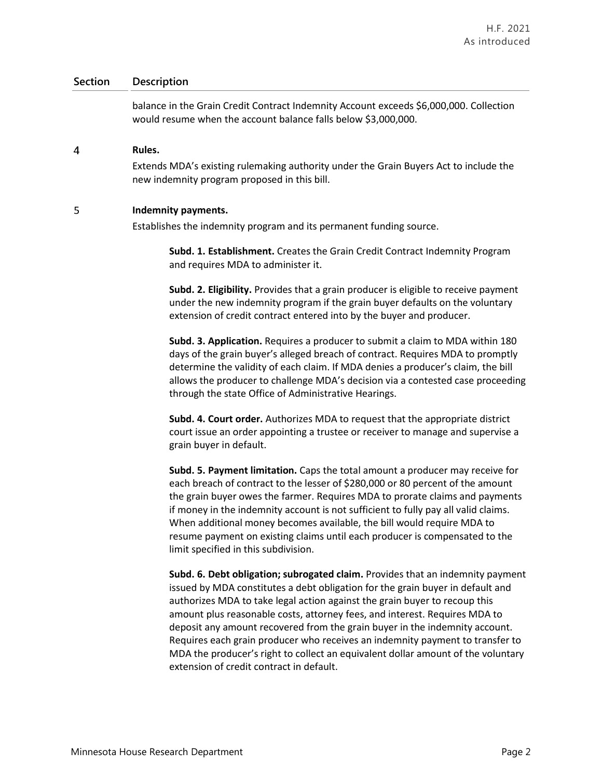### **Section Description**

balance in the Grain Credit Contract Indemnity Account exceeds \$6,000,000. Collection would resume when the account balance falls below \$3,000,000.

#### 4 **Rules.**

Extends MDA's existing rulemaking authority under the Grain Buyers Act to include the new indemnity program proposed in this bill.

#### 5 **Indemnity payments.**

Establishes the indemnity program and its permanent funding source.

**Subd. 1. Establishment.** Creates the Grain Credit Contract Indemnity Program and requires MDA to administer it.

**Subd. 2. Eligibility.** Provides that a grain producer is eligible to receive payment under the new indemnity program if the grain buyer defaults on the voluntary extension of credit contract entered into by the buyer and producer.

**Subd. 3. Application.** Requires a producer to submit a claim to MDA within 180 days of the grain buyer's alleged breach of contract. Requires MDA to promptly determine the validity of each claim. If MDA denies a producer's claim, the bill allows the producer to challenge MDA's decision via a contested case proceeding through the state Office of Administrative Hearings.

**Subd. 4. Court order.** Authorizes MDA to request that the appropriate district court issue an order appointing a trustee or receiver to manage and supervise a grain buyer in default.

**Subd. 5. Payment limitation.** Caps the total amount a producer may receive for each breach of contract to the lesser of \$280,000 or 80 percent of the amount the grain buyer owes the farmer. Requires MDA to prorate claims and payments if money in the indemnity account is not sufficient to fully pay all valid claims. When additional money becomes available, the bill would require MDA to resume payment on existing claims until each producer is compensated to the limit specified in this subdivision.

**Subd. 6. Debt obligation; subrogated claim.** Provides that an indemnity payment issued by MDA constitutes a debt obligation for the grain buyer in default and authorizes MDA to take legal action against the grain buyer to recoup this amount plus reasonable costs, attorney fees, and interest. Requires MDA to deposit any amount recovered from the grain buyer in the indemnity account. Requires each grain producer who receives an indemnity payment to transfer to MDA the producer's right to collect an equivalent dollar amount of the voluntary extension of credit contract in default.